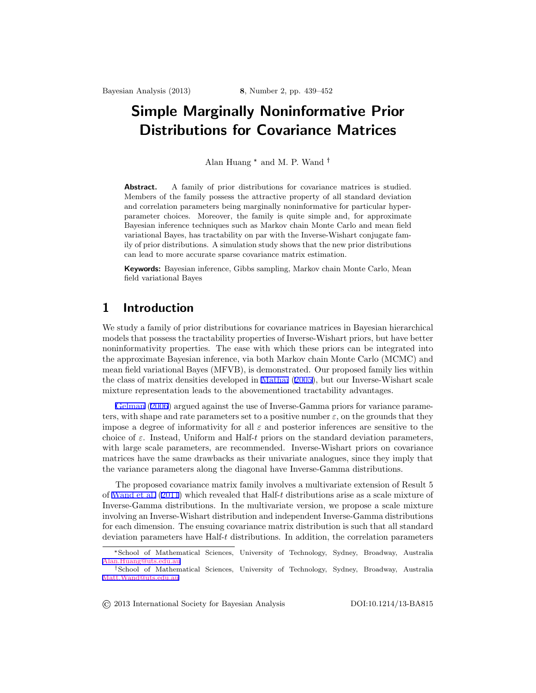# <span id="page-0-0"></span>**Simple Marginally Noninformative Prior Distributions for Covariance Matrices**

Alan Huang \* and M. P. Wand

Abstract. A family of prior distributions for covariance matrices is studied. Members of the family possess the attractive property of all standard deviation and correlation parameters being marginally noninformative for particular hyperparameter choices. Moreover, the family is quite simple and, for approximate Bayesian inference techniques such as Markov chain Monte Carlo and mean field variational Bayes, has tractability on par with the Inverse-Wishart conjugate family of prior distributions. A simulation study shows that the new prior distributions can lead to more accurate sparse covariance matrix estimation.

**Keywords:** Bayesian inference, Gibbs sampling, Markov chain Monte Carlo, Mean field variational Bayes

### **1 Introduction**

We study a family of prior distributions for covariance matrices in Bayesian hierarchical models that possess the tractability properties of Inverse-Wishart priors, but have better noninformativity properties. The ease with which these priors can be integrated into the approximate Bayesian inference, via both Markov chain Monte Carlo (MCMC) and mean field variational Bayes (MFVB), is demonstrated. Our proposed family lies within the class of matrix densities developed in [Mathai](#page-11-0) ([2005\)](#page-11-0), but our Inverse-Wishart scale mixture representation leads to the abovementioned tractability advantages.

[Gelman](#page-11-0) [\(2006](#page-11-0)) argued against the use of Inverse-Gamma priors for variance parameters, with shape and rate parameters set to a positive number  $\varepsilon$ , on the grounds that they impose a degree of informativity for all *ε* and posterior inferences are sensitive to the choice of  $\varepsilon$ . Instead, Uniform and Half-*t* priors on the standard deviation parameters, with large scale parameters, are recommended. Inverse-Wishart priors on covariance matrices have the same drawbacks as their univariate analogues, since they imply that the variance parameters along the diagonal have Inverse-Gamma distributions.

The proposed covariance matrix family involves a multivariate extension of Result 5 of [Wand et al.](#page-12-0) ([2011](#page-12-0)) which revealed that Half-*t* distributions arise as a scale mixture of Inverse-Gamma distributions. In the multivariate version, we propose a scale mixture involving an Inverse-Wishart distribution and independent Inverse-Gamma distributions for each dimension. The ensuing covariance matrix distribution is such that all standard deviation parameters have Half-*t* distributions. In addition, the correlation parameters

© 2013 International Society for Bayesian Analysis DOI:10.1214/13-BA815

<sup>\*</sup>School of Mathematical Sciences, University of Technology, Sydney, Broadway, Australia [Alan.Huang@uts.edu.au](mailto:Alan.Huang@uts.edu.au)

School of Mathematical Sciences, University of Technology, Sydney, Broadway, Australia [Matt.Wand@uts.edu.au](mailto:Matt.Wand@uts.edu.au)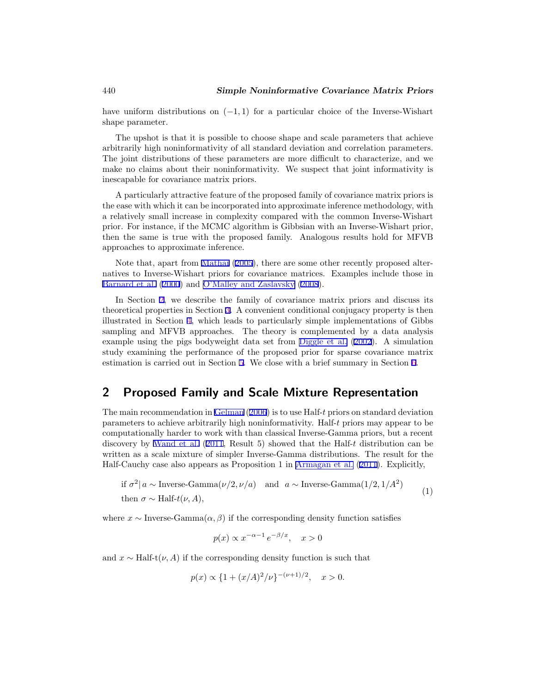<span id="page-1-0"></span>have uniform distributions on (*−*1*,* 1) for a particular choice of the Inverse-Wishart shape parameter.

The upshot is that it is possible to choose shape and scale parameters that achieve arbitrarily high noninformativity of all standard deviation and correlation parameters. The joint distributions of these parameters are more difficult to characterize, and we make no claims about their noninformativity. We suspect that joint informativity is inescapable for covariance matrix priors.

A particularly attractive feature of the proposed family of covariance matrix priors is the ease with which it can be incorporated into approximate inference methodology, with a relatively small increase in complexity compared with the common Inverse-Wishart prior. For instance, if the MCMC algorithm is Gibbsian with an Inverse-Wishart prior, then the same is true with the proposed family. Analogous results hold for MFVB approaches to approximate inference.

Note that, apart from [Mathai](#page-11-0) ([2005\)](#page-11-0), there are some other recently proposed alternatives to Inverse-Wishart priors for covariance matrices. Examples include those in [Barnard et al.](#page-11-0) ([2000](#page-11-0)) and [O'Malley and Zaslavsky](#page-11-0) ([2008\)](#page-11-0).

In Section 2, we describe the family of covariance matrix priors and discuss its theoretical properties in Section [3.](#page-2-0) A convenient conditional conjugacy property is then illustrated in Section [4,](#page-5-0) which leads to particularly simple implementations of Gibbs sampling and MFVB approaches. The theory is complemented by a data analysis example using the pigs bodyweight data set from [Diggle et al.](#page-11-0) ([2002\)](#page-11-0). A simulation study examining the performance of the proposed prior for sparse covariance matrix estimation is carried out in Section [5](#page-8-0). We close with a brief summary in Section [6](#page-11-0).

### **2 Proposed Family and Scale Mixture Representation**

The main recommendation in [Gelman](#page-11-0) ([2006\)](#page-11-0) is to use Half-*t* priors on standard deviation parameters to achieve arbitrarily high noninformativity. Half-*t* priors may appear to be computationally harder to work with than classical Inverse-Gamma priors, but a recent discovery by [Wand et al.](#page-12-0) [\(2011](#page-12-0), Result 5) showed that the Half-*t* distribution can be written as a scale mixture of simpler Inverse-Gamma distributions. The result for the Half-Cauchy case also appears as Proposition 1 in [Armagan et al.](#page-11-0) ([2011\)](#page-11-0). Explicitly,

if 
$$
\sigma^2 | a \sim \text{Inverse-Gamma}(\nu/2, \nu/a)
$$
 and  $a \sim \text{Inverse-Gamma}(1/2, 1/A^2)$   
then  $\sigma \sim \text{Half-}t(\nu, A),$  (1)

where  $x \sim \text{Inverse-Gamma}(\alpha, \beta)$  if the corresponding density function satisfies

$$
p(x) \propto x^{-\alpha - 1} e^{-\beta/x}, \quad x > 0
$$

and  $x \sim \text{Half-t}(\nu, A)$  if the corresponding density function is such that

$$
p(x) \propto \{1 + (x/A)^2/\nu\}^{-(\nu+1)/2}, \quad x > 0.
$$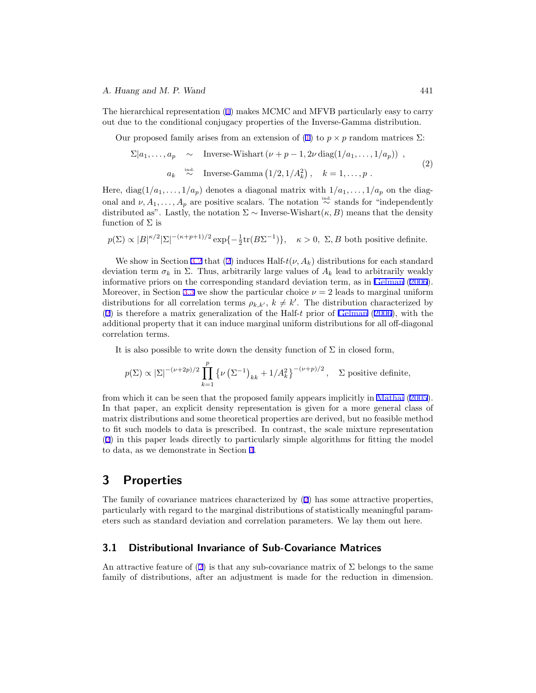#### <span id="page-2-0"></span>*A. Huang and M. P. Wand* 441

The hierarchical representation [\(1](#page-1-0)) makes MCMC and MFVB particularly easy to carry out due to the conditional conjugacy properties of the Inverse-Gamma distribution.

Our proposed family arises from an extension of [\(1](#page-1-0)) to  $p \times p$  random matrices  $\Sigma$ :

$$
\Sigma|a_1,\ldots,a_p \sim \text{Inverse-Wishart}(\nu+p-1,2\nu\text{ diag}(1/a_1,\ldots,1/a_p)),
$$
\n
$$
a_k \stackrel{\text{ind.}}{\sim} \text{Inverse-Gamma}(1/2,1/A_k^2), \quad k=1,\ldots,p.
$$
\n(2)

Here,  $diag(1/a_1, \ldots, 1/a_p)$  denotes a diagonal matrix with  $1/a_1, \ldots, 1/a_p$  on the diagonal and  $\nu, A_1, \ldots, A_p$  are positive scalars. The notation  $\stackrel{\text{ind.}}{\sim}$  stands for "independently" distributed as". Lastly, the notation  $\Sigma \sim$  Inverse-Wishart( $\kappa, B$ ) means that the density function of  $\Sigma$  is

$$
p(\Sigma) \propto |B|^{\kappa/2} |\Sigma|^{-(\kappa+p+1)/2} \exp\{-\frac{1}{2} \text{tr}(B\Sigma^{-1})\}, \quad \kappa > 0, \Sigma, B \text{ both positive definite.}
$$

We show in Section [3.2](#page-3-0) that (2) induces Half- $t(\nu, A_k)$  distributions for each standard deviation term  $\sigma_k$  in  $\Sigma$ . Thus, arbitrarily large values of  $A_k$  lead to arbitrarily weakly informative priors on the corresponding standard deviation term, as in [Gelman](#page-11-0) [\(2006](#page-11-0)). Moreover, in Section [3.3](#page-3-0) we show the particular choice  $\nu = 2$  leads to marginal uniform distributions for all correlation terms  $\rho_{k,k'}$ ,  $k \neq k'$ . The distribution characterized by (2) is therefore a matrix generalization of the Half-*t* prior of [Gelman](#page-11-0) ([2006\)](#page-11-0), with the additional property that it can induce marginal uniform distributions for all off-diagonal correlation terms.

It is also possible to write down the density function of  $\Sigma$  in closed form,

$$
p(\Sigma) \propto |\Sigma|^{-(\nu+2p)/2} \prod_{k=1}^p \left\{ \nu \left( \Sigma^{-1} \right)_{kk} + 1/A_k^2 \right\}^{-(\nu+p)/2}, \quad \Sigma \text{ positive definite},
$$

from which it can be seen that the proposed family appears implicitly in [Mathai](#page-11-0) [\(2005](#page-11-0)). In that paper, an explicit density representation is given for a more general class of matrix distributions and some theoretical properties are derived, but no feasible method to fit such models to data is prescribed. In contrast, the scale mixture representation (2) in this paper leads directly to particularly simple algorithms for fitting the model to data, as we demonstrate in Section [4](#page-5-0).

### **3 Properties**

The family of covariance matrices characterized by (2) has some attractive properties, particularly with regard to the marginal distributions of statistically meaningful parameters such as standard deviation and correlation parameters. We lay them out here.

### **3.1 Distributional Invariance of Sub-Covariance Matrices**

An attractive feature of (2) is that any sub-covariance matrix of  $\Sigma$  belongs to the same family of distributions, after an adjustment is made for the reduction in dimension.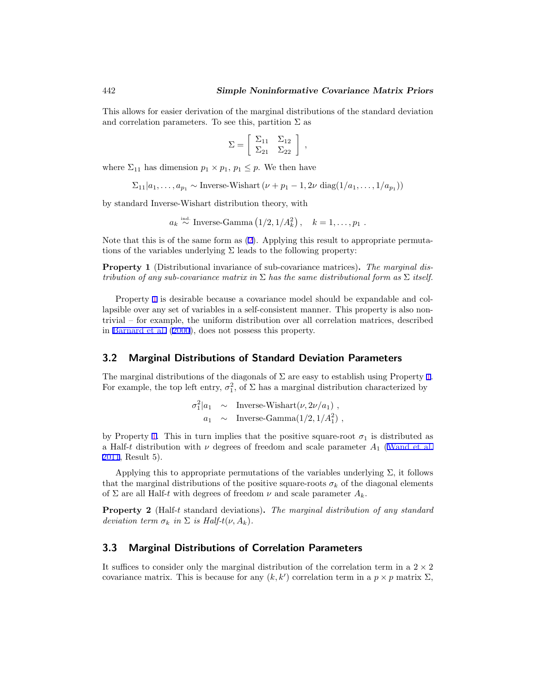<span id="page-3-0"></span>This allows for easier derivation of the marginal distributions of the standard deviation and correlation parameters. To see this, partition  $\Sigma$  as

$$
\Sigma = \left[ \begin{array}{cc} \Sigma_{11} & \Sigma_{12} \\ \Sigma_{21} & \Sigma_{22} \end{array} \right] ,
$$

where  $\Sigma_{11}$  has dimension  $p_1 \times p_1$ ,  $p_1 \leq p$ . We then have

$$
\Sigma_{11}|a_1,\ldots,a_{p_1} \sim \text{Inverse-Wishart}\left(\nu + p_1 - 1, 2\nu \text{ diag}(1/a_1,\ldots,1/a_{p_1})\right)
$$

by standard Inverse-Wishart distribution theory, with

$$
a_k \stackrel{\text{ind.}}{\sim} \text{Inverse-Gamma}\left(\frac{1}{2}, \frac{1}{A_k^2}\right), \quad k = 1, \ldots, p_1.
$$

Note that this is of the same form as ([2\)](#page-2-0). Applying this result to appropriate permutations of the variables underlying  $\Sigma$  leads to the following property:

**Property 1** (Distributional invariance of sub-covariance matrices)**.** *The marginal distribution of any sub-covariance matrix in* Σ *has the same distributional form as* Σ *itself.*

Property 1 is desirable because a covariance model should be expandable and collapsible over any set of variables in a self-consistent manner. This property is also nontrivial – for example, the uniform distribution over all correlation matrices, described in [Barnard et al.](#page-11-0) [\(2000](#page-11-0)), does not possess this property.

#### **3.2 Marginal Distributions of Standard Deviation Parameters**

The marginal distributions of the diagonals of  $\Sigma$  are easy to establish using Property 1. For example, the top left entry,  $\sigma_1^2$ , of  $\Sigma$  has a marginal distribution characterized by

$$
\sigma_1^2 | a_1 \sim \text{Inverse-Wishart}(\nu, 2\nu/a_1) ,
$$
  
 
$$
a_1 \sim \text{Inverse-Gamma}(1/2, 1/A_1^2) ,
$$

by Property 1. This in turn implies that the positive square-root  $\sigma_1$  is distributed as a Half-*t* distribution with  $\nu$  degrees of freedom and scale parameter  $A_1$  ([Wand et al.](#page-12-0) [2011,](#page-12-0) Result 5).

Applying this to appropriate permutations of the variables underlying  $\Sigma$ , it follows that the marginal distributions of the positive square-roots  $\sigma_k$  of the diagonal elements of  $\Sigma$  are all Half-*t* with degrees of freedom  $\nu$  and scale parameter  $A_k$ .

**Property 2** (Half-*t* standard deviations)**.** *The marginal distribution of any standard deviation term*  $\sigma_k$  *in*  $\Sigma$  *is Half-t*( $\nu$ ,  $A_k$ ).

### **3.3 Marginal Distributions of Correlation Parameters**

It suffices to consider only the marginal distribution of the correlation term in a  $2 \times 2$ covariance matrix. This is because for any  $(k, k')$  correlation term in a  $p \times p$  matrix  $\Sigma$ ,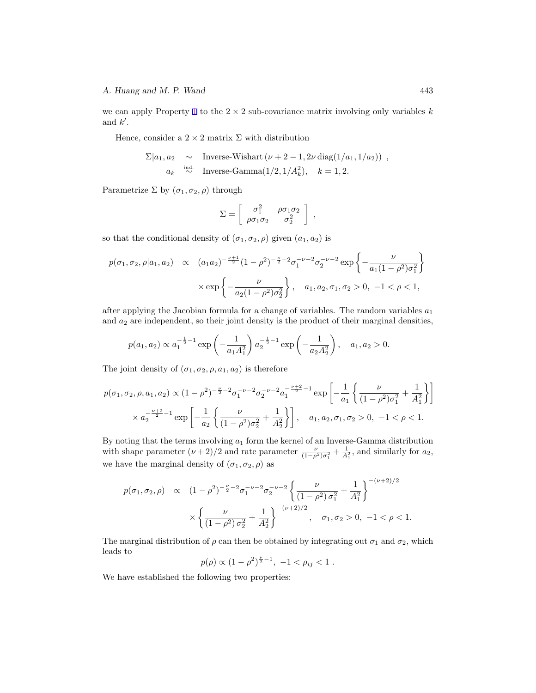we can apply Property [1](#page-3-0) to the  $2 \times 2$  sub-covariance matrix involving only variables *k* and *k ′* .

Hence, consider a  $2 \times 2$  matrix  $\Sigma$  with distribution

$$
\Sigma|a_1, a_2 \sim \text{Inverse-Wishart}(\nu + 2 - 1, 2\nu \text{ diag}(1/a_1, 1/a_2)) ,
$$
  
\n
$$
a_k \stackrel{\text{ind.}}{\sim} \text{Inverse-Gamma}(1/2, 1/A_k^2), \quad k = 1, 2.
$$

Parametrize  $\Sigma$  by  $(\sigma_1, \sigma_2, \rho)$  through

$$
\Sigma = \left[ \begin{array}{cc} \sigma_1^2 & \rho \sigma_1 \sigma_2 \\ \rho \sigma_1 \sigma_2 & \sigma_2^2 \end{array} \right] ,
$$

so that the conditional density of  $(\sigma_1, \sigma_2, \rho)$  given  $(a_1, a_2)$  is

$$
p(\sigma_1, \sigma_2, \rho | a_1, a_2) \propto (a_1 a_2)^{-\frac{\nu+1}{2}} (1 - \rho^2)^{-\frac{\nu}{2} - 2} \sigma_1^{-\nu - 2} \sigma_2^{-\nu - 2} \exp \left\{ -\frac{\nu}{a_1 (1 - \rho^2) \sigma_1^2} \right\}
$$

$$
\times \exp \left\{ -\frac{\nu}{a_2 (1 - \rho^2) \sigma_2^2} \right\}, \quad a_1, a_2, \sigma_1, \sigma_2 > 0, -1 < \rho < 1,
$$

after applying the Jacobian formula for a change of variables. The random variables *a*<sup>1</sup> and  $a_2$  are independent, so their joint density is the product of their marginal densities,

$$
p(a_1, a_2) \propto a_1^{-\frac{1}{2}-1} \exp\left(-\frac{1}{a_1 A_1^2}\right) a_2^{-\frac{1}{2}-1} \exp\left(-\frac{1}{a_2 A_2^2}\right), \quad a_1, a_2 > 0.
$$

The joint density of  $(\sigma_1, \sigma_2, \rho, a_1, a_2)$  is therefore

$$
p(\sigma_1, \sigma_2, \rho, a_1, a_2) \propto (1 - \rho^2)^{-\frac{\nu}{2} - 2} \sigma_1^{-\nu - 2} \sigma_2^{-\nu - 2} a_1^{-\frac{\nu + 2}{2} - 1} \exp\left[ -\frac{1}{a_1} \left\{ \frac{\nu}{(1 - \rho^2) \sigma_1^2} + \frac{1}{A_1^2} \right\} \right]
$$

$$
\times a_2^{-\frac{\nu + 2}{2} - 1} \exp\left[ -\frac{1}{a_2} \left\{ \frac{\nu}{(1 - \rho^2) \sigma_2^2} + \frac{1}{A_2^2} \right\} \right], \quad a_1, a_2, \sigma_1, \sigma_2 > 0, \ -1 < \rho < 1.
$$

By noting that the terms involving *a*<sup>1</sup> form the kernel of an Inverse-Gamma distribution with shape parameter  $(\nu + 2)/2$  and rate parameter  $\frac{\nu}{(1-\rho^2)\sigma_1^2} + \frac{1}{A_1^2}$ , and similarly for *a*<sub>2</sub>, we have the marginal density of  $(\sigma_1, \sigma_2, \rho)$  as

$$
p(\sigma_1, \sigma_2, \rho) \propto (1 - \rho^2)^{-\frac{\nu}{2} - 2} \sigma_1^{-\nu - 2} \sigma_2^{-\nu - 2} \left\{ \frac{\nu}{(1 - \rho^2) \sigma_1^2} + \frac{1}{A_1^2} \right\}^{-(\nu + 2)/2}
$$

$$
\times \left\{ \frac{\nu}{(1 - \rho^2) \sigma_2^2} + \frac{1}{A_2^2} \right\}^{-(\nu + 2)/2}, \quad \sigma_1, \sigma_2 > 0, \ -1 < \rho < 1.
$$

The marginal distribution of  $\rho$  can then be obtained by integrating out  $\sigma_1$  and  $\sigma_2$ , which leads to

$$
p(\rho) \propto (1 - \rho^2)^{\frac{\nu}{2} - 1}, -1 < \rho_{ij} < 1.
$$

We have established the following two properties: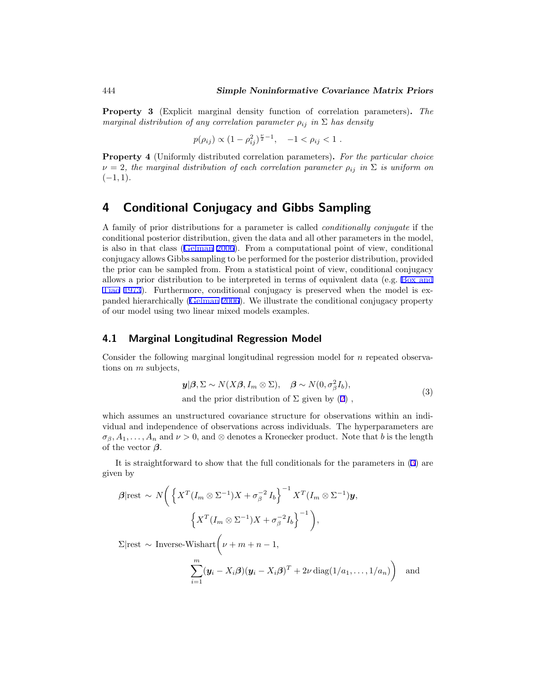<span id="page-5-0"></span>**Property 3** (Explicit marginal density function of correlation parameters)**.** *The marginal distribution of any correlation parameter*  $\rho_{ij}$  *in*  $\Sigma$  *has density* 

$$
p(\rho_{ij}) \propto (1 - \rho_{ij}^2)^{\frac{\nu}{2} - 1}, \quad -1 < \rho_{ij} < 1.
$$

**Property 4** (Uniformly distributed correlation parameters)**.** *For the particular choice*  $\nu = 2$ , the marginal distribution of each correlation parameter  $\rho_{ij}$  in  $\Sigma$  is uniform on (*−*1*,* 1)*.*

### **4 Conditional Conjugacy and Gibbs Sampling**

A family of prior distributions for a parameter is called *conditionally conjugate* if the conditional posterior distribution, given the data and all other parameters in the model, is also in that class ([Gelman](#page-11-0) [2006\)](#page-11-0). From a computational point of view, conditional conjugacy allows Gibbs sampling to be performed for the posterior distribution, provided the prior can be sampled from. From a statistical point of view, conditional conjugacy allows a prior distribution to be interpreted in terms of equivalent data (e.g. [Box and](#page-11-0) [Tiao](#page-11-0) [1973](#page-11-0)). Furthermore, conditional conjugacy is preserved when the model is expanded hierarchically ([Gelman](#page-11-0) [2006\)](#page-11-0). We illustrate the conditional conjugacy property of our model using two linear mixed models examples.

### **4.1 Marginal Longitudinal Regression Model**

Consider the following marginal longitudinal regression model for *n* repeated observations on *m* subjects,

$$
\mathbf{y}|\beta, \Sigma \sim N(X\beta, I_m \otimes \Sigma), \quad \beta \sim N(0, \sigma_\beta^2 I_b),
$$
  
and the prior distribution of  $\Sigma$  given by (2), (3)

which assumes an unstructured covariance structure for observations within an individual and independence of observations across individuals. The hyperparameters are  $\sigma_{\beta}, A_1, \ldots, A_n$  and  $\nu > 0$ , and  $\otimes$  denotes a Kronecker product. Note that *b* is the length of the vector *β*.

It is straightforward to show that the full conditionals for the parameters in (3) are given by

$$
\beta|\text{rest} \sim N\bigg(\left\{X^T(I_m \otimes \Sigma^{-1})X + \sigma_\beta^{-2} I_b\right\}^{-1} X^T(I_m \otimes \Sigma^{-1})\mathbf{y},\right\}
$$

$$
\left\{X^T(I_m \otimes \Sigma^{-1})X + \sigma_\beta^{-2} I_b\right\}^{-1}\bigg),
$$

 $\Sigma$ |rest  $\sim$  Inverse-Wishart $(\nu + m + n - 1,$ 

$$
\sum_{i=1}^{m} (\mathbf{y}_i - X_i \boldsymbol{\beta}) (\mathbf{y}_i - X_i \boldsymbol{\beta})^T + 2\nu \operatorname{diag}(1/a_1, \dots, 1/a_n) \bigg) \quad \text{and}
$$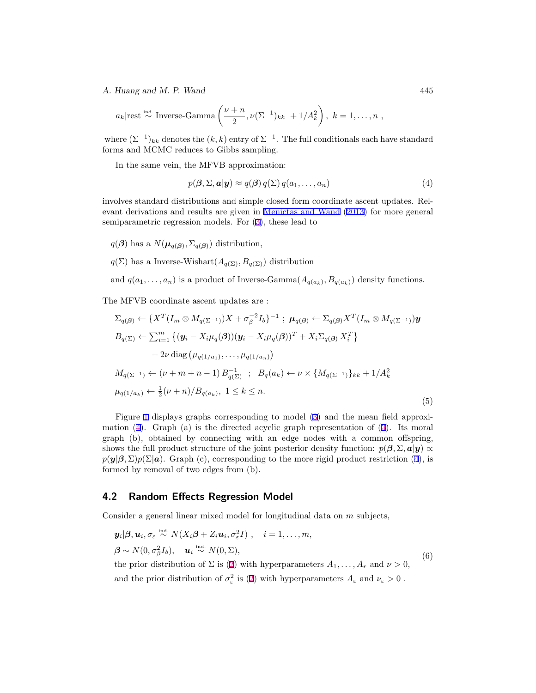#### <span id="page-6-0"></span>*A. Huang and M. P. Wand* 445

$$
a_k
$$
|rest<sup>ind</sup> "Inverse-Gamma $\left(\frac{\nu+n}{2}, \nu(\Sigma^{-1})_{kk} + 1/A_k^2\right)$ ,  $k = 1, ..., n$ ,

where  $(\Sigma^{-1})_{kk}$  denotes the  $(k, k)$  entry of  $\Sigma^{-1}$ . The full conditionals each have standard forms and MCMC reduces to Gibbs sampling.

In the same vein, the MFVB approximation:

$$
p(\boldsymbol{\beta}, \Sigma, \boldsymbol{a} | \boldsymbol{y}) \approx q(\boldsymbol{\beta}) q(\Sigma) q(a_1, \dots, a_n)
$$
\n<sup>(4)</sup>

involves standard distributions and simple closed form coordinate ascent updates. Relevant derivations and results are given in [Menictas and Wand](#page-11-0) [\(2013\)](#page-11-0) for more general semiparametric regression models. For ([3](#page-5-0)), these lead to

- $q(\boldsymbol{\beta})$  has a  $N(\boldsymbol{\mu}_{q(\boldsymbol{\beta})}, \Sigma_{q(\boldsymbol{\beta})})$  distribution,
- $q(\Sigma)$  has a Inverse-Wishart $(A_{q(\Sigma)}, B_{q(\Sigma)})$  distribution

and  $q(a_1, \ldots, a_n)$  is a product of Inverse-Gamma $(A_{q(a_k)}, B_{q(a_k)})$  density functions.

The MFVB coordinate ascent updates are :

$$
\Sigma_{q(\beta)} \leftarrow \{X^{T}(I_{m} \otimes M_{q(\Sigma^{-1})})X + \sigma_{\beta}^{-2}I_{b}\}^{-1} ; \mu_{q(\beta)} \leftarrow \Sigma_{q(\beta)}X^{T}(I_{m} \otimes M_{q(\Sigma^{-1})})\mathbf{y}
$$
  
\n
$$
B_{q(\Sigma)} \leftarrow \sum_{i=1}^{m} \{(\mathbf{y}_{i} - X_{i}\mu_{q}(\beta))(\mathbf{y}_{i} - X_{i}\mu_{q}(\beta))^{T} + X_{i}\Sigma_{q(\beta)}X_{i}^{T}\} + 2\nu \operatorname{diag}(\mu_{q(1/a_{1})}, \ldots, \mu_{q(1/a_{n})})
$$
  
\n
$$
M_{q(\Sigma^{-1})} \leftarrow (\nu + m + n - 1) B_{q(\Sigma)}^{-1} ; B_{q}(a_{k}) \leftarrow \nu \times \{M_{q(\Sigma^{-1})}\}_{kk} + 1/A_{k}^{2}
$$
  
\n
$$
\mu_{q(1/a_{k})} \leftarrow \frac{1}{2}(\nu + n)/B_{q(a_{k})}, 1 \leq k \leq n.
$$
\n(5)

Figure [1](#page-7-0) displays graphs corresponding to model ([3\)](#page-5-0) and the mean field approximation (4). Graph (a) is the directed acyclic graph representation of ([3\)](#page-5-0). Its moral graph (b), obtained by connecting with an edge nodes with a common offspring, shows the full product structure of the joint posterior density function:  $p(\beta, \Sigma, a|y) \propto$  $p(\mathbf{y}|\boldsymbol{\beta},\Sigma)p(\Sigma|\mathbf{a})$ . Graph (c), corresponding to the more rigid product restriction (4), is formed by removal of two edges from (b).

#### **4.2 Random Effects Regression Model**

Consider a general linear mixed model for longitudinal data on *m* subjects,

$$
\mathbf{y}_i|\boldsymbol{\beta}, \mathbf{u}_i, \sigma_{\varepsilon} \stackrel{\text{ind.}}{\sim} N(X_i\boldsymbol{\beta} + Z_i\mathbf{u}_i, \sigma_{\varepsilon}^2 I), \quad i = 1, ..., m,
$$
  

$$
\boldsymbol{\beta} \sim N(0, \sigma_{\beta}^2 I_b), \quad \mathbf{u}_i \stackrel{\text{ind.}}{\sim} N(0, \Sigma),
$$
  
the prior distribution of  $\Sigma$  is (2) with hyperparameters  $A_1, ..., A_r$  and  $\nu > 0$ ,  
and the prior distribution of  $\sigma_{\varepsilon}^2$  is (2) with hyperparameters  $A_{\varepsilon}$  and  $\nu_{\varepsilon} > 0$ .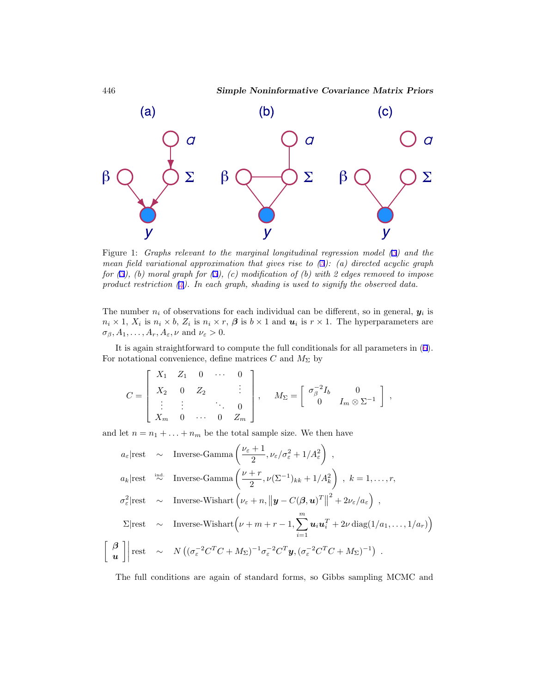

Figure 1: *Graphs relevant to the marginal longitudinal regression model ([3\)](#page-5-0) and the mean field variational approximation that gives rise to ([5\)](#page-6-0): (a) directed acyclic graph for ([3\)](#page-5-0), (b) moral graph for [\(3\)](#page-5-0), (c) modification of (b) with 2 edges removed to impose product restriction [\(4\)](#page-6-0). In each graph, shading is used to signify the observed data.*

The number  $n_i$  of observations for each individual can be different, so in general,  $y_i$  is  $n_i \times 1$ ,  $X_i$  is  $n_i \times b$ ,  $Z_i$  is  $n_i \times r$ ,  $\beta$  is  $b \times 1$  and  $u_i$  is  $r \times 1$ . The hyperparameters are  $\sigma_{\beta}, A_1, \ldots, A_r, A_{\varepsilon}, \nu \text{ and } \nu_{\varepsilon} > 0.$ 

It is again straightforward to compute the full conditionals for all parameters in [\(6](#page-6-0)). For notational convenience, define matrices  $C$  and  $M_{\Sigma}$  by

$$
C = \begin{bmatrix} X_1 & Z_1 & 0 & \cdots & 0 \\ X_2 & 0 & Z_2 & & \vdots \\ \vdots & \vdots & & \ddots & 0 \\ X_m & 0 & \cdots & 0 & Z_m \end{bmatrix}, \quad M_{\Sigma} = \begin{bmatrix} \sigma_{\beta}^{-2}I_b & 0 \\ 0 & I_m \otimes \Sigma^{-1} \end{bmatrix},
$$

and let  $n = n_1 + \ldots + n_m$  be the total sample size. We then have

$$
a_{\varepsilon}|\text{rest} \sim \text{Inverse-Gamma}\left(\frac{\nu_{\varepsilon}+1}{2}, \nu_{\varepsilon}/\sigma_{\varepsilon}^{2}+1/A_{\varepsilon}^{2}\right),
$$
\n
$$
a_{k}|\text{rest} \stackrel{\text{ind.}}{\sim} \text{Inverse-Gamma}\left(\frac{\nu+r}{2}, \nu(\Sigma^{-1})_{kk}+1/A_{k}^{2}\right), k = 1, \dots, r,
$$
\n
$$
\sigma_{\varepsilon}^{2}|\text{rest} \sim \text{Inverse-Wishart}\left(\nu_{\varepsilon}+n, \left\|\mathbf{y}-C(\boldsymbol{\beta}, \mathbf{u})^{T}\right\|^{2}+2\nu_{\varepsilon}/a_{\varepsilon}\right),
$$
\n
$$
\Sigma|\text{rest} \sim \text{Inverse-Wishart}\left(\nu+m+r-1, \sum_{i=1}^{m} \mathbf{u}_{i} \mathbf{u}_{i}^{T}+2\nu \operatorname{diag}(1/a_{1}, \dots, 1/a_{r})\right)
$$
\n
$$
\begin{bmatrix} \boldsymbol{\beta} \\ \mathbf{u} \end{bmatrix}|\text{rest} \sim N\left((\sigma_{\varepsilon}^{-2}C^{T}C+M_{\Sigma})^{-1}\sigma_{\varepsilon}^{-2}C^{T}\mathbf{y}, (\sigma_{\varepsilon}^{-2}C^{T}C+M_{\Sigma})^{-1}\right).
$$

The full conditions are again of standard forms, so Gibbs sampling MCMC and

<span id="page-7-0"></span>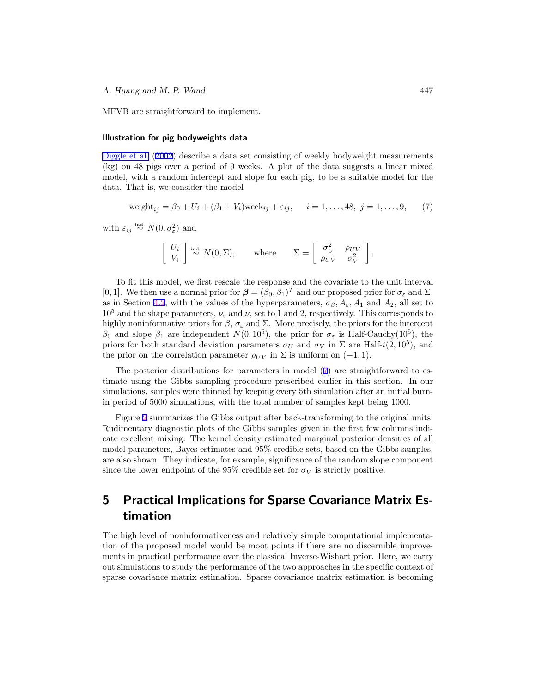<span id="page-8-0"></span>MFVB are straightforward to implement.

#### **Illustration for pig bodyweights data**

[Diggle et al.](#page-11-0) [\(2002](#page-11-0)) describe a data set consisting of weekly bodyweight measurements (kg) on 48 pigs over a period of 9 weeks. A plot of the data suggests a linear mixed model, with a random intercept and slope for each pig, to be a suitable model for the data. That is, we consider the model

$$
weight_{ij} = \beta_0 + U_i + (\beta_1 + V_i) \text{week}_{ij} + \varepsilon_{ij}, \quad i = 1, ..., 48, j = 1, ..., 9,
$$
 (7)

with  $\varepsilon_{ij} \stackrel{\text{ind.}}{\sim} N(0, \sigma_{\varepsilon}^2)$  and

$$
\begin{bmatrix} U_i \\ V_i \end{bmatrix} \stackrel{\text{ind.}}{\sim} N(0, \Sigma), \quad \text{where} \quad \Sigma = \begin{bmatrix} \sigma_U^2 & \rho_{UV} \\ \rho_{UV} & \sigma_V^2 \end{bmatrix}.
$$

To fit this model, we first rescale the response and the covariate to the unit interval [0, 1]. We then use a normal prior for  $\boldsymbol{\beta} = (\beta_0, \beta_1)^T$  and our proposed prior for  $\sigma_{\varepsilon}$  and  $\Sigma$ , as in Section [4.2,](#page-6-0) with the values of the hyperparameters,  $\sigma_{\beta}$ ,  $A_{\varepsilon}$ ,  $A_1$  and  $A_2$ , all set to  $10<sup>5</sup>$  and the shape parameters,  $\nu_{\varepsilon}$  and  $\nu$ , set to 1 and 2, respectively. This corresponds to highly noninformative priors for  $\beta$ ,  $\sigma_{\varepsilon}$  and  $\Sigma$ . More precisely, the priors for the intercept *β*<sup>0</sup> and slope *β*<sup>1</sup> are independent *N*(0*,* 10<sup>5</sup>), the prior for  $\sigma$ <sup>*ε*</sup> is Half-Cauchy(10<sup>5</sup>), the priors for both standard deviation parameters  $\sigma_U$  and  $\sigma_V$  in  $\Sigma$  are Half- $t(2, 10^5)$ , and the prior on the correlation parameter  $\rho_{UV}$  in  $\Sigma$  is uniform on (−1, 1).

The posterior distributions for parameters in model (7) are straightforward to estimate using the Gibbs sampling procedure prescribed earlier in this section. In our simulations, samples were thinned by keeping every 5th simulation after an initial burnin period of 5000 simulations, with the total number of samples kept being 1000.

Figure [2](#page-9-0) summarizes the Gibbs output after back-transforming to the original units. Rudimentary diagnostic plots of the Gibbs samples given in the first few columns indicate excellent mixing. The kernel density estimated marginal posterior densities of all model parameters, Bayes estimates and 95% credible sets, based on the Gibbs samples, are also shown. They indicate, for example, significance of the random slope component since the lower endpoint of the 95% credible set for  $\sigma_V$  is strictly positive.

## **5 Practical Implications for Sparse Covariance Matrix Estimation**

The high level of noninformativeness and relatively simple computational implementation of the proposed model would be moot points if there are no discernible improvements in practical performance over the classical Inverse-Wishart prior. Here, we carry out simulations to study the performance of the two approaches in the specific context of sparse covariance matrix estimation. Sparse covariance matrix estimation is becoming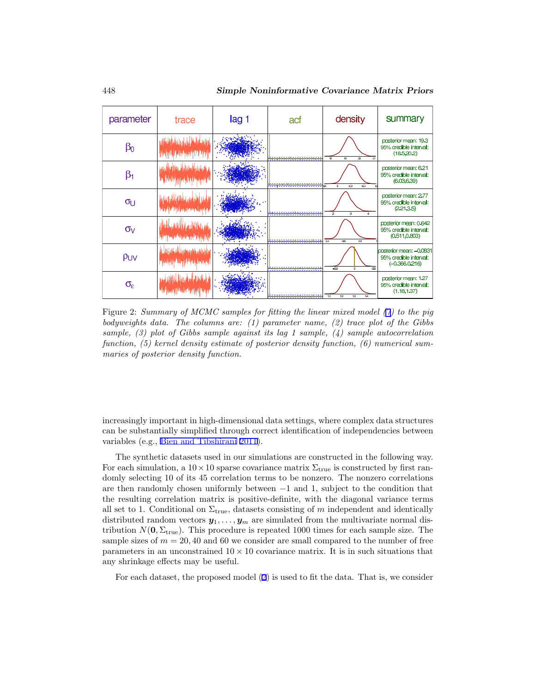<span id="page-9-0"></span>

| parameter           | trace | lag 1 | acf                                                   | density                         | summary                                                                |
|---------------------|-------|-------|-------------------------------------------------------|---------------------------------|------------------------------------------------------------------------|
| βο                  |       |       |                                                       | 19<br>ż0.<br>1B<br>21           | posterior mean: 19.3<br>95% credible interval:<br>(18.5, 20.2)         |
| $\beta_1$           |       |       |                                                       | 62<br>64<br>6                   | posterior mean: 6.21<br>95% credible interval:<br>(6.03, 6.39)         |
| $\sigma_U$          |       |       | <u>in in der der der in der der der eine der in d</u> | ò.<br>$\ddot{\mathbf{3}}$<br>A. | posterior mean: 2.77<br>95% credible interval:<br>(2.21, 3.5)          |
| $\sigma_V$          |       |       |                                                       | 04<br>06<br>оs                  | posterior mean: 0.642<br>95% credible interval:<br>(0.511, 0.803)      |
| PUV                 |       |       |                                                       | $-0.5$<br>$\circ$<br>0.5        | posterior mean: -0.0831<br>95% credible interval:<br>$(-0.366, 0.216)$ |
| $\sigma_{\epsilon}$ |       |       |                                                       | 12<br>13<br>1.1<br>14           | posterior mean: 1.27<br>95% credible interval:<br>(1.18, 1.37)         |

Figure 2: *Summary of MCMC samples for fitting the linear mixed model ([7](#page-8-0)) to the pig bodyweights data. The columns are: (1) parameter name, (2) trace plot of the Gibbs sample, (3) plot of Gibbs sample against its lag 1 sample, (4) sample autocorrelation function, (5) kernel density estimate of posterior density function, (6) numerical summaries of posterior density function.*

increasingly important in high-dimensional data settings, where complex data structures can be substantially simplified through correct identification of independencies between variables (e.g., [Bien and Tibshirani](#page-11-0) [2011\)](#page-11-0).

The synthetic datasets used in our simulations are constructed in the following way. For each simulation, a  $10 \times 10$  sparse covariance matrix  $\Sigma_{\text{true}}$  is constructed by first randomly selecting 10 of its 45 correlation terms to be nonzero. The nonzero correlations are then randomly chosen uniformly between *−*1 and 1, subject to the condition that the resulting correlation matrix is positive-definite, with the diagonal variance terms all set to 1. Conditional on  $\Sigma_{\text{true}}$ , datasets consisting of *m* independent and identically distributed random vectors  $y_1, \ldots, y_m$  are simulated from the multivariate normal distribution  $N(\mathbf{0}, \Sigma_{\text{true}})$ . This procedure is repeated 1000 times for each sample size. The sample sizes of  $m = 20, 40$  and 60 we consider are small compared to the number of free parameters in an unconstrained 10 *×* 10 covariance matrix. It is in such situations that any shrinkage effects may be useful.

For each dataset, the proposed model [\(2](#page-2-0)) is used to fit the data. That is, we consider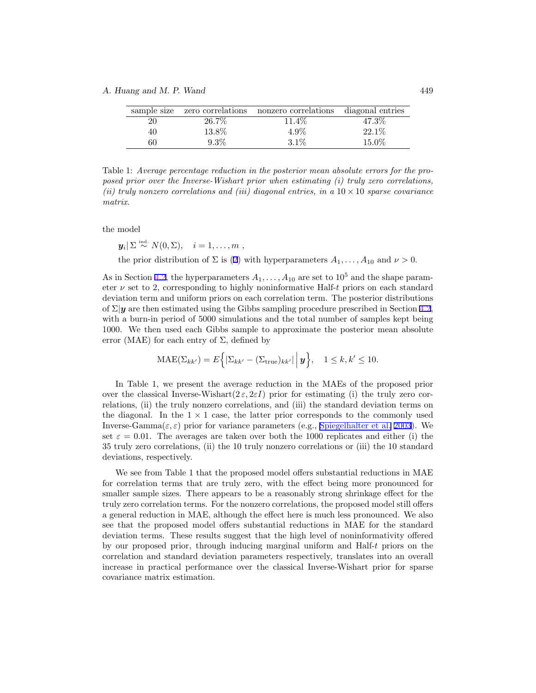#### <span id="page-10-0"></span>*A. Huang and M. P. Wand* 449

| sample size | zero correlations | nonzero correlations | diagonal entries |
|-------------|-------------------|----------------------|------------------|
| 20          | 26.7%             | $11.4\%$             | 47.3%            |
| 40          | 13.8%             | 4.9%                 | $22.1\%$         |
| 60          | $9.3\%$           | $3.1\%$              | 15.0%            |

Table 1: *Average percentage reduction in the posterior mean absolute errors for the proposed prior over the Inverse-Wishart prior when estimating (i) truly zero correlations, (ii) truly nonzero correlations and (iii) diagonal entries, in a* 10 *×* 10 *sparse covariance matrix.*

the model

$$
y_i | \Sigma \stackrel{\text{ind.}}{\sim} N(0, \Sigma), \quad i = 1, \ldots, m
$$

the prior distribution of  $\Sigma$  is ([2\)](#page-2-0) with hyperparameters  $A_1, \ldots, A_{10}$  and  $\nu > 0$ .

As in Section [4.2,](#page-6-0) the hyperparameters  $A_1, \ldots, A_{10}$  are set to  $10^5$  and the shape parameter  $\nu$  set to 2, corresponding to highly noninformative Half-*t* priors on each standard deviation term and uniform priors on each correlation term. The posterior distributions of  $\Sigma|\mathbf{y}$  are then estimated using the Gibbs sampling procedure prescribed in Section [4.2](#page-6-0), with a burn-in period of 5000 simulations and the total number of samples kept being 1000. We then used each Gibbs sample to approximate the posterior mean absolute error (MAE) for each entry of  $\Sigma$ , defined by

$$
\text{MAE}(\Sigma_{kk'}) = E\Big\{|\Sigma_{kk'} - (\Sigma_{\text{true}})_{kk'}| \Big| \mathbf{y}\Big\}, \quad 1 \leq k, k' \leq 10.
$$

In Table 1, we present the average reduction in the MAEs of the proposed prior over the classical Inverse-Wishart $(2 \varepsilon, 2 \varepsilon I)$  prior for estimating (i) the truly zero correlations, (ii) the truly nonzero correlations, and (iii) the standard deviation terms on the diagonal. In the  $1 \times 1$  case, the latter prior corresponds to the commonly used Inverse-Gamma $(\varepsilon, \varepsilon)$  prior for variance parameters (e.g., [Spiegelhalter et al.](#page-12-0) [2003](#page-12-0)). We set  $\varepsilon = 0.01$ . The averages are taken over both the 1000 replicates and either (i) the 35 truly zero correlations, (ii) the 10 truly nonzero correlations or (iii) the 10 standard deviations, respectively.

We see from Table 1 that the proposed model offers substantial reductions in MAE for correlation terms that are truly zero, with the effect being more pronounced for smaller sample sizes. There appears to be a reasonably strong shrinkage effect for the truly zero correlation terms. For the nonzero correlations, the proposed model still offers a general reduction in MAE, although the effect here is much less pronounced. We also see that the proposed model offers substantial reductions in MAE for the standard deviation terms. These results suggest that the high level of noninformativity offered by our proposed prior, through inducing marginal uniform and Half-*t* priors on the correlation and standard deviation parameters respectively, translates into an overall increase in practical performance over the classical Inverse-Wishart prior for sparse covariance matrix estimation.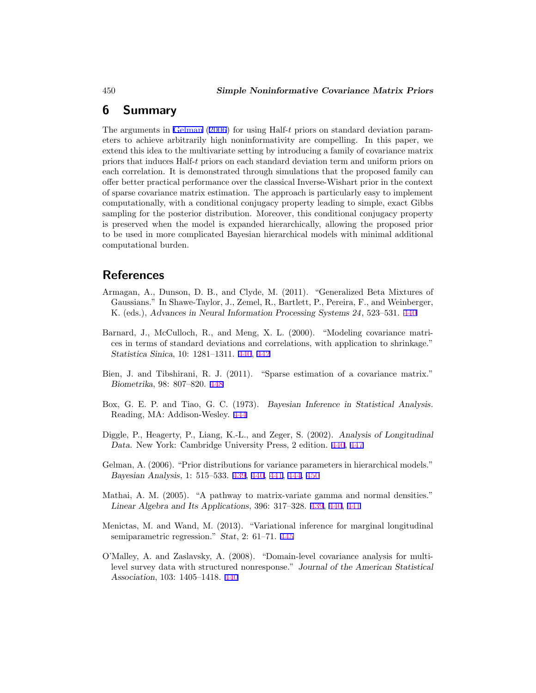### <span id="page-11-0"></span>**6 Summary**

The arguments in Gelman (2006) for using Half-*t* priors on standard deviation parameters to achieve arbitrarily high noninformativity are compelling. In this paper, we extend this idea to the multivariate setting by introducing a family of covariance matrix priors that induces Half-*t* priors on each standard deviation term and uniform priors on each correlation. It is demonstrated through simulations that the proposed family can offer better practical performance over the classical Inverse-Wishart prior in the context of sparse covariance matrix estimation. The approach is particularly easy to implement computationally, with a conditional conjugacy property leading to simple, exact Gibbs sampling for the posterior distribution. Moreover, this conditional conjugacy property is preserved when the model is expanded hierarchically, allowing the proposed prior to be used in more complicated Bayesian hierarchical models with minimal additional computational burden.

### **References**

- Armagan, A., Dunson, D. B., and Clyde, M. (2011). "Generalized Beta Mixtures of Gaussians." In Shawe-Taylor, J., Zemel, R., Bartlett, P., Pereira, F., and Weinberger, K. (eds.), *Advances in Neural Information Processing Systems 24*, 523–531. [440](#page-1-0)
- Barnard, J., McCulloch, R., and Meng, X. L. (2000). "Modeling covariance matrices in terms of standard deviations and correlations, with application to shrinkage." *Statistica Sinica*, 10: 1281–1311. [440,](#page-1-0) [442](#page-3-0)
- Bien, J. and Tibshirani, R. J. (2011). "Sparse estimation of a covariance matrix." *Biometrika*, 98: 807–820. [448](#page-9-0)
- Box, G. E. P. and Tiao, G. C. (1973). *Bayesian Inference in Statistical Analysis*. Reading, MA: Addison-Wesley. [444](#page-5-0)
- Diggle, P., Heagerty, P., Liang, K.-L., and Zeger, S. (2002). *Analysis of Longitudinal Data*. New York: Cambridge University Press, 2 edition. [440](#page-1-0), [447](#page-8-0)
- Gelman, A. (2006). "Prior distributions for variance parameters in hierarchical models." *Bayesian Analysis*, 1: 515–533. [439,](#page-0-0) [440](#page-1-0), [441](#page-2-0), [444](#page-5-0), 450
- Mathai, A. M. (2005). "A pathway to matrix-variate gamma and normal densities." *Linear Algebra and Its Applications*, 396: 317–328. [439,](#page-0-0) [440,](#page-1-0) [441](#page-2-0)
- Menictas, M. and Wand, M. (2013). "Variational inference for marginal longitudinal semiparametric regression." *Stat*, 2: 61–71. [445](#page-6-0)
- O'Malley, A. and Zaslavsky, A. (2008). "Domain-level covariance analysis for multilevel survey data with structured nonresponse." *Journal of the American Statistical Association*, 103: 1405–1418. [440](#page-1-0)